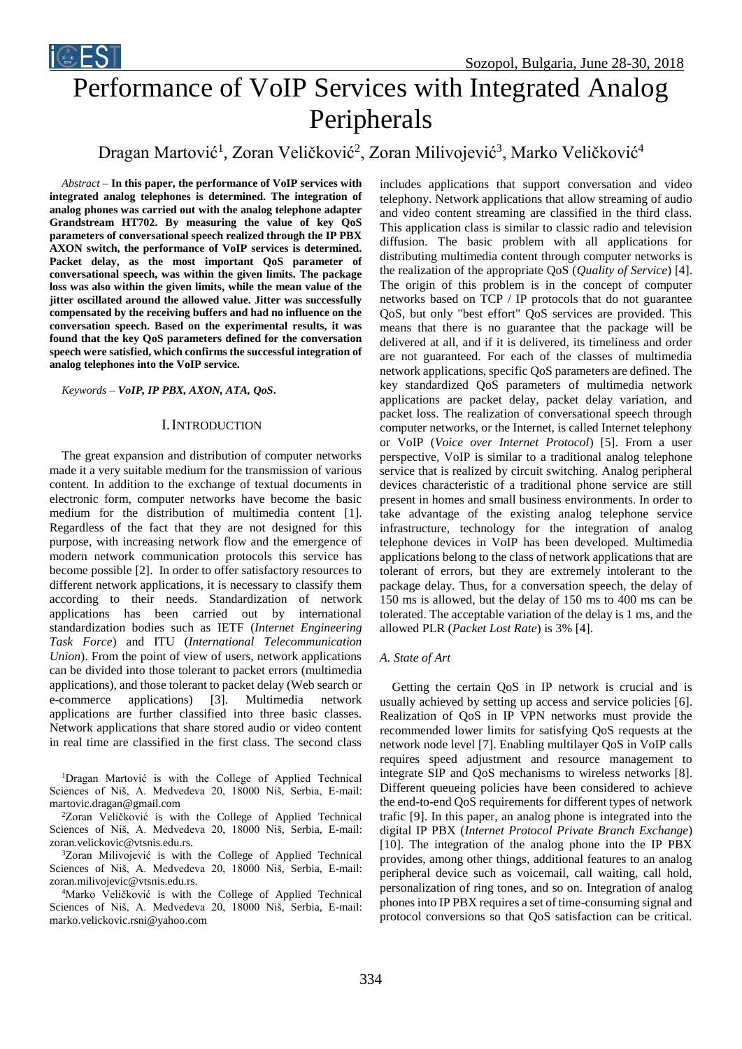

# Performance of VoIP Services with Integrated Analog Peripherals

# Dragan Martović<sup>1</sup>, Zoran Veličković<sup>2</sup>, Zoran Milivojević<sup>3</sup>, Marko Veličković<sup>4</sup>

*Abstract –* **In this paper, the performance of VoIP services with integrated analog telephones is determined. The integration of analog phones was carried out with the analog telephone adapter Grandstream HT702. By measuring the value of key QoS parameters of conversational speech realized through the IP PBX AXON switch, the performance of VoIP services is determined. Packet delay, as the most important QoS parameter of conversational speech, was within the given limits. The package loss was also within the given limits, while the mean value of the jitter oscillated around the allowed value. Jitter was successfully compensated by the receiving buffers and had no influence on the conversation speech. Based on the experimental results, it was found that the key QoS parameters defined for the conversation speech were satisfied, which confirms the successful integration of analog telephones into the VoIP service.**

*Keywords – VoIP, IP PBX, AXON, ATA, QoS***.**

iCEST

# I. INTRODUCTION

The great expansion and distribution of computer networks made it a very suitable medium for the transmission of various content. In addition to the exchange of textual documents in electronic form, computer networks have become the basic medium for the distribution of multimedia content [1]. Regardless of the fact that they are not designed for this purpose, with increasing network flow and the emergence of modern network communication protocols this service has become possible [2]. In order to offer satisfactory resources to different network applications, it is necessary to classify them according to their needs. Standardization of network applications has been carried out by international standardization bodies such as IETF (*Internet Engineering Task Force*) and ITU (*International Telecommunication Union*). From the point of view of users, network applications can be divided into those tolerant to packet errors (multimedia applications), and those tolerant to packet delay (Web search or e-commerce applications) [3]. Multimedia network applications are further classified into three basic classes. Network applications that share stored audio or video content in real time are classified in the first class. The second class

<sup>1</sup>Dragan Martović is with the College of Applied Technical Sciences of Niš, A. Medvedeva 20, 18000 Niš, Serbia, E-mail: martovic.dragan@gmail.com

<sup>2</sup>Zoran Veličković is with the College of Applied Technical Sciences of Niš, A. Medvedeva 20, 18000 Niš, Serbia, E-mail: zoran.velickovic@vtsnis.edu.rs.

<sup>3</sup>Zoran Milivojević is with the College of Applied Technical Sciences of Niš, A. Medvedeva 20, 18000 Niš, Serbia, E-mail: zoran.milivojevic@vtsnis.edu.rs.

<sup>4</sup>Marko Veličković is with the College of Applied Technical Sciences of Niš, A. Medvedeva 20, 18000 Niš, Serbia, E-mail: marko.velickovic.rsni@yahoo.com

includes applications that support conversation and video telephony. Network applications that allow streaming of audio and video content streaming are classified in the third class. This application class is similar to classic radio and television diffusion. The basic problem with all applications for distributing multimedia content through computer networks is the realization of the appropriate QoS (*Quality of Service*) [4]. The origin of this problem is in the concept of computer networks based on TCP / IP protocols that do not guarantee QoS, but only "best effort" QoS services are provided. This means that there is no guarantee that the package will be delivered at all, and if it is delivered, its timeliness and order are not guaranteed. For each of the classes of multimedia network applications, specific QoS parameters are defined. The key standardized QoS parameters of multimedia network applications are packet delay, packet delay variation, and packet loss. The realization of conversational speech through computer networks, or the Internet, is called Internet telephony or VoIP (*Voice over Internet Protocol*) [5]. From a user perspective, VoIP is similar to a traditional analog telephone service that is realized by circuit switching. Analog peripheral devices characteristic of a traditional phone service are still present in homes and small business environments. In order to take advantage of the existing analog telephone service infrastructure, technology for the integration of analog telephone devices in VoIP has been developed. Multimedia applications belong to the class of network applications that are tolerant of errors, but they are extremely intolerant to the package delay. Thus, for a conversation speech, the delay of 150 ms is allowed, but the delay of 150 ms to 400 ms can be tolerated. The acceptable variation of the delay is 1 ms, and the allowed PLR (*Packet Lost Rate*) is 3% [4].

#### *A. State of Art*

Getting the certain QoS in IP network is crucial and is usually achieved by setting up access and service policies [6]. Realization of QoS in IP VPN networks must provide the recommended lower limits for satisfying QoS requests at the network node level [7]. Enabling multilayer QoS in VoIP calls requires speed adjustment and resource management to integrate SIP and QoS mechanisms to wireless networks [8]. Different queueing policies have been considered to achieve the end-to-end QoS requirements for different types of network trafic [9]. In this paper, an analog phone is integrated into the digital IP PBX (*Internet Protocol Private Branch Exchange*) [10]. The integration of the analog phone into the IP PBX provides, among other things, additional features to an analog peripheral device such as voicemail, call waiting, call hold, personalization of ring tones, and so on. Integration of analog phones into IP PBX requires a set of time-consuming signal and protocol conversions so that QoS satisfaction can be critical.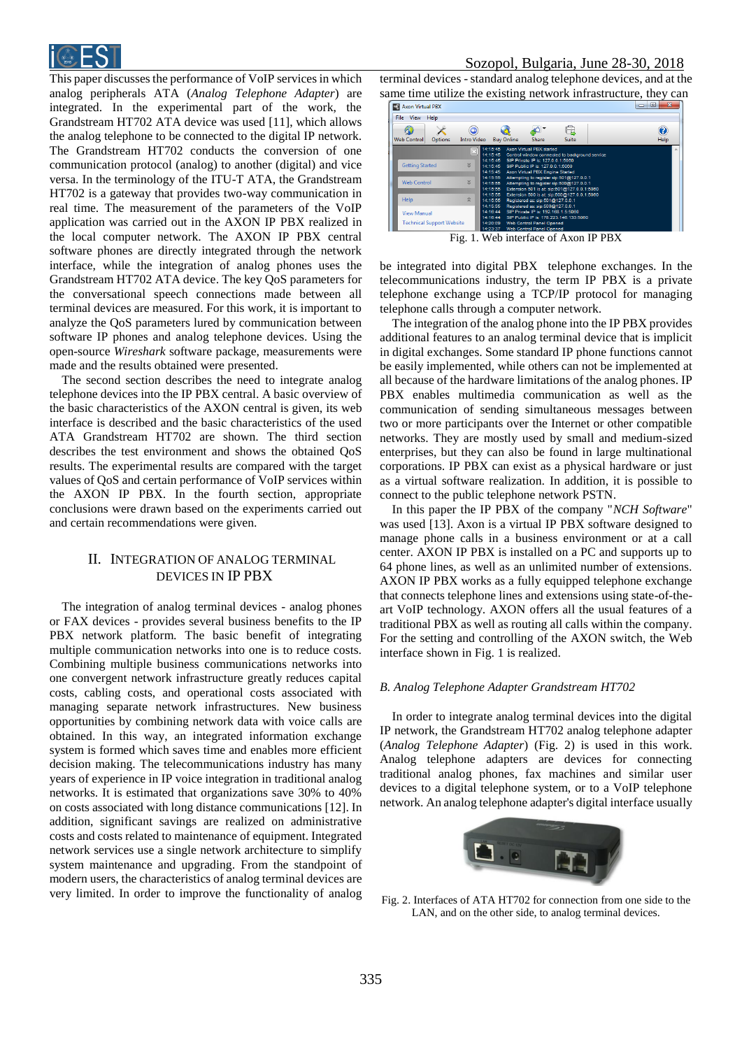

This paper discusses the performance of VoIP services in which analog peripherals ATA (*Analog Telephone Adapter*) are integrated. In the experimental part of the work, the Grandstream HT702 ATA device was used [11], which allows the analog telephone to be connected to the digital IP network. The Grandstream HT702 conducts the conversion of one communication protocol (analog) to another (digital) and vice versa. In the terminology of the ITU-T ATA, the Grandstream HT702 is a gateway that provides two-way communication in real time. The measurement of the parameters of the VoIP application was carried out in the AXON IP PBX realized in the local computer network. The AXON IP PBX central software phones are directly integrated through the network interface, while the integration of analog phones uses the Grandstream HT702 ATA device. The key QoS parameters for the conversational speech connections made between all terminal devices are measured. For this work, it is important to analyze the QoS parameters lured by communication between software IP phones and analog telephone devices. Using the open-source *Wireshark* software package, measurements were made and the results obtained were presented.

The second section describes the need to integrate analog telephone devices into the IP PBX central. A basic overview of the basic characteristics of the AXON central is given, its web interface is described and the basic characteristics of the used ATA Grandstream HT702 are shown. The third section describes the test environment and shows the obtained QoS results. The experimental results are compared with the target values of QoS and certain performance of VoIP services within the AXON IP PBX. In the fourth section, appropriate conclusions were drawn based on the experiments carried out and certain recommendations were given.

# II. INTEGRATION OF ANALOG TERMINAL DEVICES IN IP PBX

The integration of analog terminal devices - analog phones or FAX devices - provides several business benefits to the IP PBX network platform. The basic benefit of integrating multiple communication networks into one is to reduce costs. Combining multiple business communications networks into one convergent network infrastructure greatly reduces capital costs, cabling costs, and operational costs associated with managing separate network infrastructures. New business opportunities by combining network data with voice calls are obtained. In this way, an integrated information exchange system is formed which saves time and enables more efficient decision making. The telecommunications industry has many years of experience in IP voice integration in traditional analog networks. It is estimated that organizations save 30% to 40% on costs associated with long distance communications [12]. In addition, significant savings are realized on administrative costs and costs related to maintenance of equipment. Integrated network services use a single network architecture to simplify system maintenance and upgrading. From the standpoint of modern users, the characteristics of analog terminal devices are very limited. In order to improve the functionality of analog

## Sozopol, Bulgaria, June 28-30, 2018

terminal devices - standard analog telephone devices, and at the same time utilize the existing network infrastructure, they can<br> $\boxed{\Box_{\text{Acon Virtual PEX}}}$ 



Fig. 1. Web interface of Axon IP PBX

be integrated into digital PBX telephone exchanges. In the telecommunications industry, the term IP PBX is a private telephone exchange using a TCP/IP protocol for managing telephone calls through a computer network.

The integration of the analog phone into the IP PBX provides additional features to an analog terminal device that is implicit in digital exchanges. Some standard IP phone functions cannot be easily implemented, while others can not be implemented at all because of the hardware limitations of the analog phones. IP PBX enables multimedia communication as well as the communication of sending simultaneous messages between two or more participants over the Internet or other compatible networks. They are mostly used by small and medium-sized enterprises, but they can also be found in large multinational corporations. IP PBX can exist as a physical hardware or just as a virtual software realization. In addition, it is possible to connect to the public telephone network PSTN.

In this paper the IP PBX of the company "*NCH Software*" was used [13]. Axon is a virtual IP PBX software designed to manage phone calls in a business environment or at a call center. AXON IP PBX is installed on a PC and supports up to 64 phone lines, as well as an unlimited number of extensions. AXON IP PBX works as a fully equipped telephone exchange that connects telephone lines and extensions using state-of-theart VoIP technology. AXON offers all the usual features of a traditional PBX as well as routing all calls within the company. For the setting and controlling of the AXON switch, the Web interface shown in Fig. 1 is realized.

#### *B. Analog Telephone Adapter Grandstream HT702*

In order to integrate analog terminal devices into the digital IP network, the Grandstream HT702 analog telephone adapter (*Analog Telephone Adapter*) (Fig. 2) is used in this work. Analog telephone adapters are devices for connecting traditional analog phones, fax machines and similar user devices to a digital telephone system, or to a VoIP telephone network. An analog telephone adapter's digital interface usually



Fig. 2. Interfaces of ATA HT702 for connection from one side to the LAN, and on the other side, to analog terminal devices.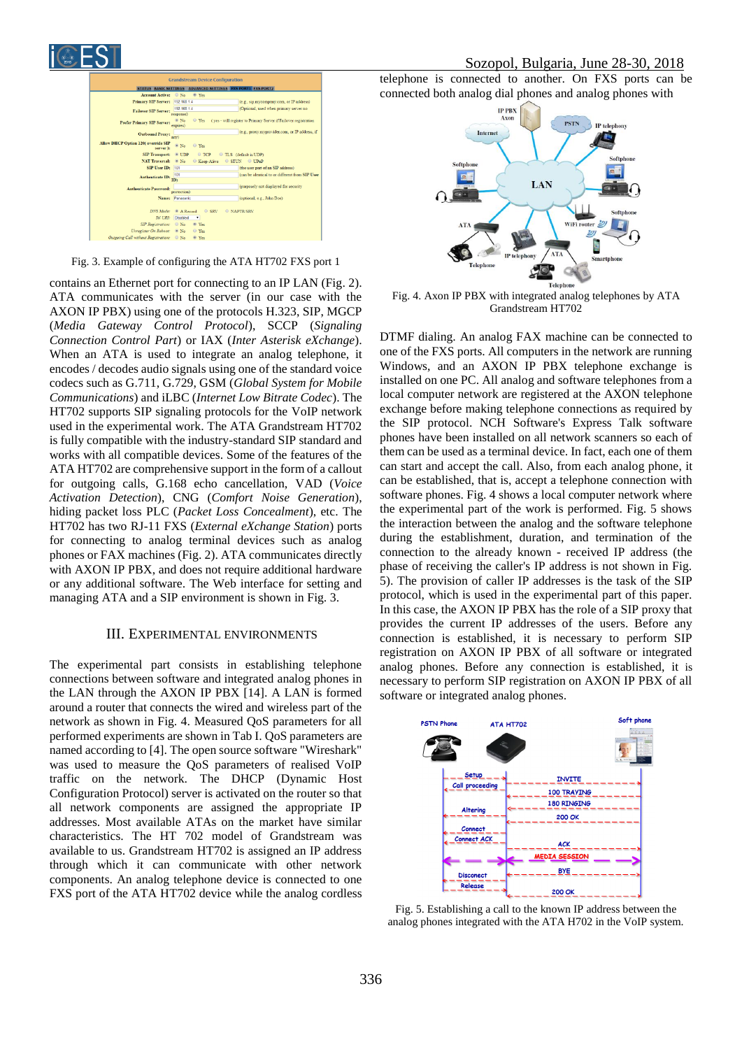# Sozopol, Bulgaria, June 28-30, 2018



Fig. 3. Example of configuring the ATA HT702 FXS port 1

contains an Ethernet port for connecting to an IP LAN (Fig. 2). ATA communicates with the server (in our case with the AXON IP PBX) using one of the protocols H.323, SIP, MGCP (*Media Gateway Control Protocol*), SCCP (*Signaling Connection Control Part*) or IAX (*Inter Asterisk eXchange*). When an ATA is used to integrate an analog telephone, it encodes / decodes audio signals using one of the standard voice codecs such as G.711, G.729, GSM (*Global System for Mobile Communications*) and iLBC (*Internet Low Bitrate Codec*). The HT702 supports SIP signaling protocols for the VoIP network used in the experimental work. The ATA Grandstream HT702 is fully compatible with the industry-standard SIP standard and works with all compatible devices. Some of the features of the ATA HT702 are comprehensive support in the form of a callout for outgoing calls, G.168 echo cancellation, VAD (*Voice Activation Detection*), CNG (*Comfort Noise Generation*), hiding packet loss PLC (*Packet Loss Concealment*), etc. The HT702 has two RJ-11 FXS (*External eXchange Station*) ports for connecting to analog terminal devices such as analog phones or FAX machines (Fig. 2). ATA communicates directly with AXON IP PBX, and does not require additional hardware or any additional software. The Web interface for setting and managing ATA and a SIP environment is shown in Fig. 3.

#### III. EXPERIMENTAL ENVIRONMENTS

The experimental part consists in establishing telephone connections between software and integrated analog phones in the LAN through the AXON IP PBX [14]. A LAN is formed around a router that connects the wired and wireless part of the network as shown in Fig. 4. Measured QoS parameters for all performed experiments are shown in Tab I. QoS parameters are named according to [4]. The open source software "Wireshark" was used to measure the QoS parameters of realised VoIP traffic on the network. The DHCP (Dynamic Host Configuration Protocol) server is activated on the router so that all network components are assigned the appropriate IP addresses. Most available ATAs on the market have similar characteristics. The HT 702 model of Grandstream was available to us. Grandstream HT702 is assigned an IP address through which it can communicate with other network components. An analog telephone device is connected to one FXS port of the ATA HT702 device while the analog cordless

telephone is connected to another. On FXS ports can be connected both analog dial phones and analog phones with



Fig. 4. Axon IP PBX with integrated analog telephones by ATA Grandstream HT702

DTMF dialing. An analog FAX machine can be connected to one of the FXS ports. All computers in the network are running Windows, and an AXON IP PBX telephone exchange is installed on one PC. All analog and software telephones from a local computer network are registered at the AXON telephone exchange before making telephone connections as required by the SIP protocol. NCH Software's Express Talk software phones have been installed on all network scanners so each of them can be used as a terminal device. In fact, each one of them can start and accept the call. Also, from each analog phone, it can be established, that is, accept a telephone connection with software phones. Fig. 4 shows a local computer network where the experimental part of the work is performed. Fig. 5 shows the interaction between the analog and the software telephone during the establishment, duration, and termination of the connection to the already known - received IP address (the phase of receiving the caller's IP address is not shown in Fig. 5). The provision of caller IP addresses is the task of the SIP protocol, which is used in the experimental part of this paper. In this case, the AXON IP PBX has the role of a SIP proxy that provides the current IP addresses of the users. Before any connection is established, it is necessary to perform SIP registration on AXON IP PBX of all software or integrated analog phones. Before any connection is established, it is necessary to perform SIP registration on AXON IP PBX of all software or integrated analog phones.



Fig. 5. Establishing a call to the known IP address between the analog phones integrated with the ATA H702 in the VoIP system.